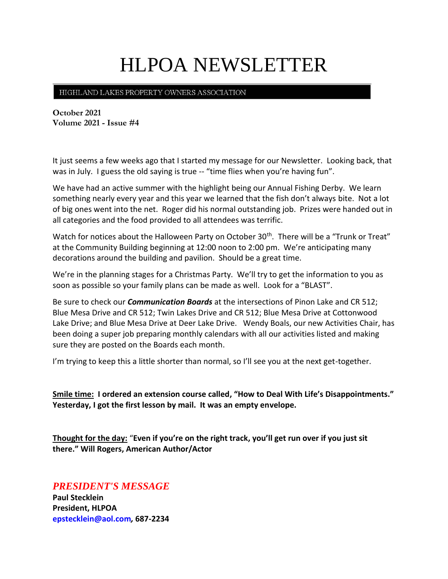# HLPOA NEWSLETTER

## HIGHLAND LAKES PROPERTY OWNERS ASSOCIATION

**October 2021 Volume 2021 - Issue #4**

It just seems a few weeks ago that I started my message for our Newsletter. Looking back, that was in July. I guess the old saying is true -- "time flies when you're having fun".

We have had an active summer with the highlight being our Annual Fishing Derby. We learn something nearly every year and this year we learned that the fish don't always bite. Not a lot of big ones went into the net. Roger did his normal outstanding job. Prizes were handed out in all categories and the food provided to all attendees was terrific.

Watch for notices about the Halloween Party on October 30<sup>th</sup>. There will be a "Trunk or Treat" at the Community Building beginning at 12:00 noon to 2:00 pm. We're anticipating many decorations around the building and pavilion. Should be a great time.

We're in the planning stages for a Christmas Party. We'll try to get the information to you as soon as possible so your family plans can be made as well. Look for a "BLAST".

Be sure to check our *Communication Boards* at the intersections of Pinon Lake and CR 512; Blue Mesa Drive and CR 512; Twin Lakes Drive and CR 512; Blue Mesa Drive at Cottonwood Lake Drive; and Blue Mesa Drive at Deer Lake Drive. Wendy Boals, our new Activities Chair, has been doing a super job preparing monthly calendars with all our activities listed and making sure they are posted on the Boards each month.

I'm trying to keep this a little shorter than normal, so I'll see you at the next get-together.

**Smile time: I ordered an extension course called, "How to Deal With Life's Disappointments." Yesterday, I got the first lesson by mail. It was an empty envelope.**

**Thought for the day:** "**Even if you're on the right track, you'll get run over if you just sit there." Will Rogers, American Author/Actor**

# *PRESIDENT'S MESSAGE*

**Paul Stecklein President, HLPOA epstecklein@aol.com***,* **687-2234**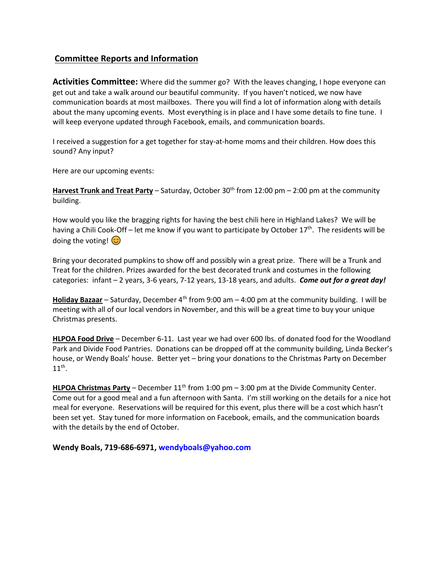# **Committee Reports and Information**

**Activities Committee:** Where did the summer go? With the leaves changing, I hope everyone can get out and take a walk around our beautiful community. If you haven't noticed, we now have communication boards at most mailboxes. There you will find a lot of information along with details about the many upcoming events. Most everything is in place and I have some details to fine tune. I will keep everyone updated through Facebook, emails, and communication boards.

I received a suggestion for a get together for stay-at-home moms and their children. How does this sound? Any input?

Here are our upcoming events:

Harvest Trunk and Treat Party – Saturday, October 30<sup>th</sup> from 12:00 pm – 2:00 pm at the community building.

How would you like the bragging rights for having the best chili here in Highland Lakes? We will be having a Chili Cook-Off – let me know if you want to participate by October 17<sup>th</sup>. The residents will be doing the voting!  $\odot$ 

Bring your decorated pumpkins to show off and possibly win a great prize. There will be a Trunk and Treat for the children. Prizes awarded for the best decorated trunk and costumes in the following categories: infant – 2 years, 3-6 years, 7-12 years, 13-18 years, and adults. *Come out for a great day!*

**Holiday Bazaar** – Saturday, December 4<sup>th</sup> from 9:00 am – 4:00 pm at the community building. I will be meeting with all of our local vendors in November, and this will be a great time to buy your unique Christmas presents.

**HLPOA Food Drive** – December 6-11. Last year we had over 600 lbs. of donated food for the Woodland Park and Divide Food Pantries. Donations can be dropped off at the community building, Linda Becker's house, or Wendy Boals' house. Better yet – bring your donations to the Christmas Party on December  $11^{\text{th}}$ .

HLPOA Christmas Party - December 11<sup>th</sup> from 1:00 pm - 3:00 pm at the Divide Community Center. Come out for a good meal and a fun afternoon with Santa. I'm still working on the details for a nice hot meal for everyone. Reservations will be required for this event, plus there will be a cost which hasn't been set yet. Stay tuned for more information on Facebook, emails, and the communication boards with the details by the end of October.

**Wendy Boals, 719-686-6971, [wendyboals@yahoo.com](mailto:wendyboals@yahoo.com)**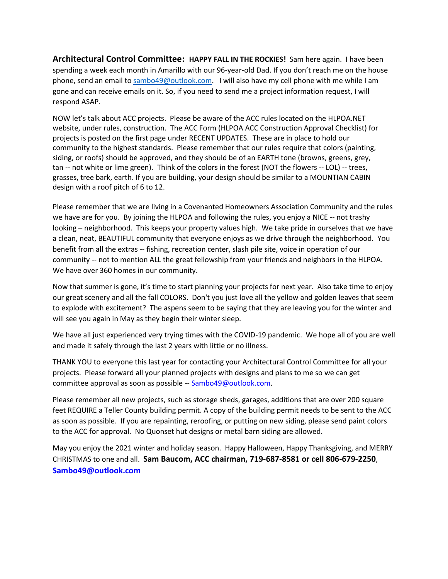**Architectural Control Committee: HAPPY FALL IN THE ROCKIES!** Sam here again. I have been spending a week each month in Amarillo with our 96-year-old Dad. If you don't reach me on the house phone, send an email to [sambo49@outlook.com.](mailto:sambo49@outlook.com) I will also have my cell phone with me while I am gone and can receive emails on it. So, if you need to send me a project information request, I will respond ASAP.

NOW let's talk about ACC projects. Please be aware of the ACC rules located on the HLPOA.NET website, under rules, construction. The ACC Form (HLPOA ACC Construction Approval Checklist) for projects is posted on the first page under RECENT UPDATES. These are in place to hold our community to the highest standards. Please remember that our rules require that colors (painting, siding, or roofs) should be approved, and they should be of an EARTH tone (browns, greens, grey, tan -- not white or lime green). Think of the colors in the forest (NOT the flowers -- LOL) -- trees, grasses, tree bark, earth. If you are building, your design should be similar to a MOUNTIAN CABIN design with a roof pitch of 6 to 12.

Please remember that we are living in a Covenanted Homeowners Association Community and the rules we have are for you. By joining the HLPOA and following the rules, you enjoy a NICE -- not trashy looking – neighborhood. This keeps your property values high. We take pride in ourselves that we have a clean, neat, BEAUTIFUL community that everyone enjoys as we drive through the neighborhood. You benefit from all the extras -- fishing, recreation center, slash pile site, voice in operation of our community -- not to mention ALL the great fellowship from your friends and neighbors in the HLPOA. We have over 360 homes in our community.

Now that summer is gone, it's time to start planning your projects for next year. Also take time to enjoy our great scenery and all the fall COLORS. Don't you just love all the yellow and golden leaves that seem to explode with excitement? The aspens seem to be saying that they are leaving you for the winter and will see you again in May as they begin their winter sleep.

We have all just experienced very trying times with the COVID-19 pandemic. We hope all of you are well and made it safely through the last 2 years with little or no illness.

THANK YOU to everyone this last year for contacting your Architectural Control Committee for all your projects. Please forward all your planned projects with designs and plans to me so we can get committee approval as soon as possible -- [Sambo49@outlook.com.](mailto:Sambo49@outlook.com)

Please remember all new projects, such as storage sheds, garages, additions that are over 200 square feet REQUIRE a Teller County building permit. A copy of the building permit needs to be sent to the ACC as soon as possible. If you are repainting, reroofing, or putting on new siding, please send paint colors to the ACC for approval. No Quonset hut designs or metal barn siding are allowed.

May you enjoy the 2021 winter and holiday season. Happy Halloween, Happy Thanksgiving, and MERRY CHRISTMAS to one and all. **Sam Baucom, ACC chairman, 719-687-8581 or cell 806-679-2250**, **[Sambo49@outlook.com](mailto:Sambo49@outlook.com)**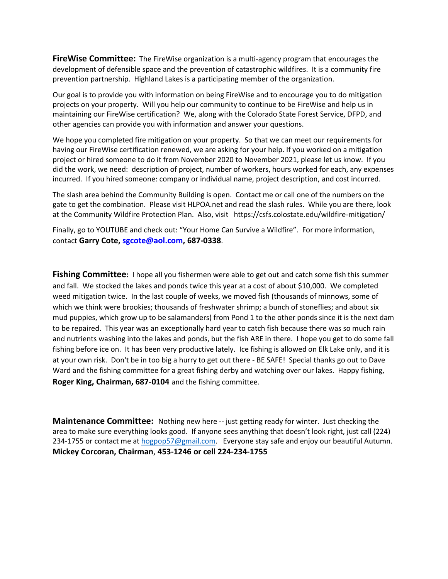**FireWise Committee:** The FireWise organization is a multi-agency program that encourages the development of defensible space and the prevention of catastrophic wildfires. It is a community fire prevention partnership. Highland Lakes is a participating member of the organization.

Our goal is to provide you with information on being FireWise and to encourage you to do mitigation projects on your property. Will you help our community to continue to be FireWise and help us in maintaining our FireWise certification? We, along with the Colorado State Forest Service, DFPD, and other agencies can provide you with information and answer your questions.

We hope you completed fire mitigation on your property. So that we can meet our requirements for having our FireWise certification renewed, we are asking for your help. If you worked on a mitigation project or hired someone to do it from November 2020 to November 2021, please let us know. If you did the work, we need: description of project, number of workers, hours worked for each, any expenses incurred. If you hired someone: company or individual name, project description, and cost incurred.

The slash area behind the Community Building is open. Contact me or call one of the numbers on the gate to get the combination. Please visit HLPOA.net and read the slash rules. While you are there, look at the Community Wildfire Protection Plan. Also, visit https://csfs.colostate.edu/wildfire-mitigation/

Finally, go to YOUTUBE and check out: "Your Home Can Survive a Wildfire". For more information, contact **Garry Cote, [sgcote@aol.com,](file:///C:/Users/Sue/Desktop/HLWD/HLPOA/POA%20Newsletter/sgcote@aol.com) 687-0338**.

**Fishing Committee:** I hope all you fishermen were able to get out and catch some fish this summer and fall. We stocked the lakes and ponds twice this year at a cost of about \$10,000. We completed weed mitigation twice. In the last couple of weeks, we moved fish (thousands of minnows, some of which we think were brookies; thousands of freshwater shrimp; a bunch of stoneflies; and about six mud puppies, which grow up to be salamanders) from Pond 1 to the other ponds since it is the next dam to be repaired. This year was an exceptionally hard year to catch fish because there was so much rain and nutrients washing into the lakes and ponds, but the fish ARE in there. I hope you get to do some fall fishing before ice on. It has been very productive lately. Ice fishing is allowed on Elk Lake only, and it is at your own risk. Don't be in too big a hurry to get out there - BE SAFE! Special thanks go out to Dave Ward and the fishing committee for a great fishing derby and watching over our lakes. Happy fishing, **Roger King, Chairman, 687-0104** and the fishing committee.

**Maintenance Committee:** Nothing new here -- just getting ready for winter. Just checking the area to make sure everything looks good. If anyone sees anything that doesn't look right, just call (224) 234-1755 or contact me at [hogpop57@gmail.com.](mailto:hogpop57@gmail.com) Everyone stay safe and enjoy our beautiful Autumn. **Mickey Corcoran, Chairman**, **453-1246 or cell 224-234-1755**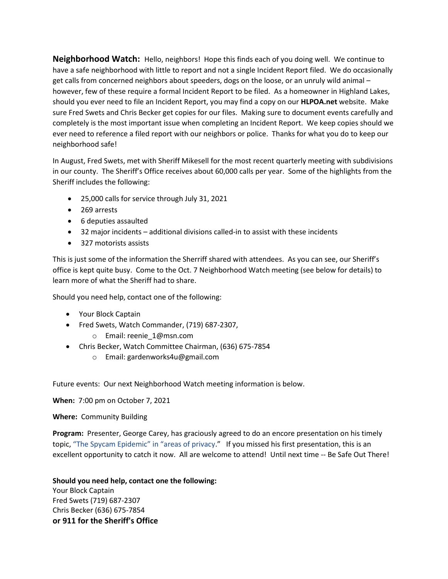**Neighborhood Watch:** Hello, neighbors! Hope this finds each of you doing well. We continue to have a safe neighborhood with little to report and not a single Incident Report filed. We do occasionally get calls from concerned neighbors about speeders, dogs on the loose, or an unruly wild animal – however, few of these require a formal Incident Report to be filed. As a homeowner in Highland Lakes, should you ever need to file an Incident Report, you may find a copy on our **HLPOA.net** website. Make sure Fred Swets and Chris Becker get copies for our files. Making sure to document events carefully and completely is the most important issue when completing an Incident Report. We keep copies should we ever need to reference a filed report with our neighbors or police. Thanks for what you do to keep our neighborhood safe!

In August, Fred Swets, met with Sheriff Mikesell for the most recent quarterly meeting with subdivisions in our county. The Sheriff's Office receives about 60,000 calls per year. Some of the highlights from the Sheriff includes the following:

- 25,000 calls for service through July 31, 2021
- 269 arrests
- 6 deputies assaulted
- 32 major incidents additional divisions called-in to assist with these incidents
- 327 motorists assists

This is just some of the information the Sherriff shared with attendees. As you can see, our Sheriff's office is kept quite busy. Come to the Oct. 7 Neighborhood Watch meeting (see below for details) to learn more of what the Sheriff had to share.

Should you need help, contact one of the following:

- Your Block Captain
- Fred Swets, Watch Commander, (719) 687-2307,

o Email: reenie\_1@msn.com

- Chris Becker, Watch Committee Chairman, (636) 675-7854
	- o Email: gardenworks4u@gmail.com

Future events: Our next Neighborhood Watch meeting information is below.

**When:** 7:00 pm on October 7, 2021

**Where:** Community Building

**Program:** Presenter, George Carey, has graciously agreed to do an encore presentation on his timely topic, "The Spycam Epidemic" in "areas of privacy." If you missed his first presentation, this is an excellent opportunity to catch it now. All are welcome to attend! Until next time -- Be Safe Out There!

**Should you need help, contact one the following:**  Your Block Captain Fred Swets (719) 687-2307 Chris Becker (636) 675-7854 **or 911 for the Sheriff's Office**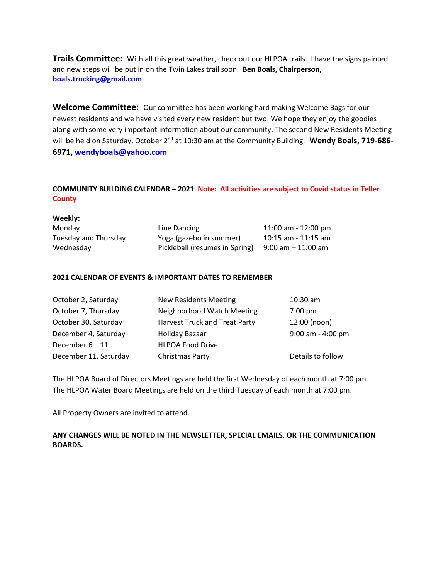**Trails Committee:** With all this great weather, check out our HLPOA trails. I have the signs painted and new steps will be put in on the Twin Lakes trail soon. **Ben Boals, Chairperson, boals.trucking@gmail.com**

**Welcome Committee:** Our committee has been working hard making Welcome Bags for our newest residents and we have visited every new resident but two. We hope they enjoy the goodies along with some very important information about our community. The second New Residents Meeting will be held on Saturday, October 2<sup>nd</sup> at 10:30 am at the Community Building. Wendy Boals, 719-686-**6971, [wendyboals@yahoo.com](mailto:wendyboals@yahoo.com)**

# **COMMUNITY BUILDING CALENDAR – 2021 Note: All activities are subject to Covid status in Teller County**

| Weekly:              |                                |                         |
|----------------------|--------------------------------|-------------------------|
| Monday               | Line Dancing                   | 11:00 am - 12:00 pm     |
| Tuesday and Thursday | Yoga (gazebo in summer)        | $10:15$ am - $11:15$ am |
| Wednesday            | Pickleball (resumes in Spring) | $9:00$ am $-11:00$ am   |

#### **2021 CALENDAR OF EVENTS & IMPORTANT DATES TO REMEMBER**

| October 2, Saturday   | <b>New Residents Meeting</b>         | 10:30 am            |
|-----------------------|--------------------------------------|---------------------|
| October 7, Thursday   | Neighborhood Watch Meeting           | $7:00$ pm           |
| October 30, Saturday  | <b>Harvest Truck and Treat Party</b> | 12:00 (noon)        |
| December 4, Saturday  | Holiday Bazaar                       | $9:00$ am - 4:00 pm |
| December $6 - 11$     | <b>HLPOA Food Drive</b>              |                     |
| December 11, Saturday | Christmas Party                      | Details to follow   |

The HLPOA Board of Directors Meetings are held the first Wednesday of each month at 7:00 pm. The HLPOA Water Board Meetings are held on the third Tuesday of each month at 7:00 pm.

All Property Owners are invited to attend.

## **ANY CHANGES WILL BE NOTED IN THE NEWSLETTER, SPECIAL EMAILS, OR THE COMMUNICATION BOARDS.**